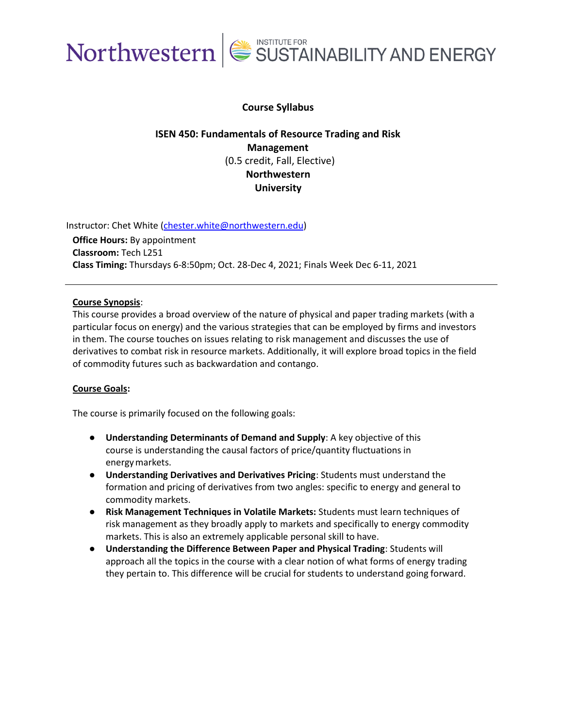

### **Course Syllabus**

## **ISEN 450: Fundamentals of Resource Trading and Risk Management** (0.5 credit, Fall, Elective) **Northwestern University**

Instructor: Chet White [\(chester.white@northwestern.edu\)](mailto:chester.white@northwestern.edu)

**Office Hours:** By appointment **Classroom:** Tech L251 **Class Timing:** Thursdays 6-8:50pm; Oct. 28-Dec 4, 2021; Finals Week Dec 6-11, 2021

#### **Course Synopsis**:

This course provides a broad overview of the nature of physical and paper trading markets (with a particular focus on energy) and the various strategies that can be employed by firms and investors in them. The course touches on issues relating to risk management and discusses the use of derivatives to combat risk in resource markets. Additionally, it will explore broad topics in the field of commodity futures such as backwardation and contango.

#### **Course Goals:**

The course is primarily focused on the following goals:

- **Understanding Determinants of Demand and Supply**: A key objective of this course is understanding the causal factors of price/quantity fluctuations in energymarkets.
- **Understanding Derivatives and Derivatives Pricing**: Students must understand the formation and pricing of derivatives from two angles: specific to energy and general to commodity markets.
- **Risk Management Techniques in Volatile Markets:** Students must learn techniques of risk management as they broadly apply to markets and specifically to energy commodity markets. This is also an extremely applicable personal skill to have.
- **Understanding the Difference Between Paper and Physical Trading**: Students will approach all the topics in the course with a clear notion of what forms of energy trading they pertain to. This difference will be crucial for students to understand going forward.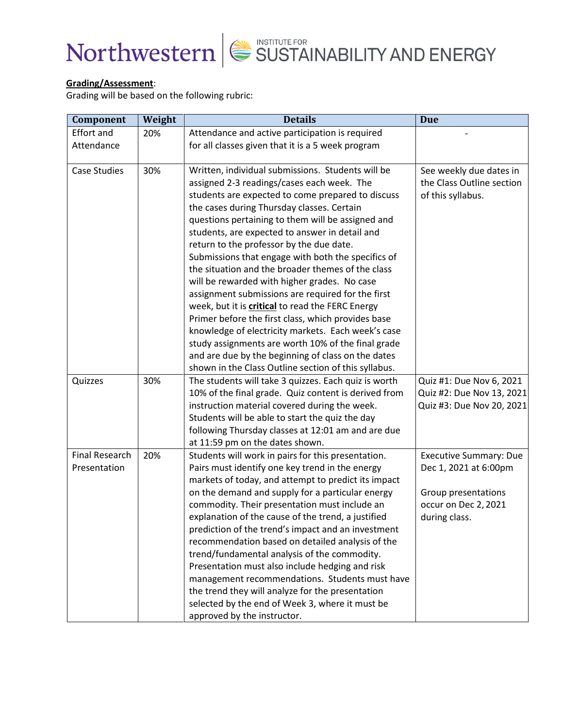

### **Grading/Assessment**:

Grading will be based on the following rubric:

| Component             | Weight | <b>Details</b>                                       | <b>Due</b>                    |
|-----------------------|--------|------------------------------------------------------|-------------------------------|
| <b>Effort and</b>     | 20%    | Attendance and active participation is required      |                               |
| Attendance            |        | for all classes given that it is a 5 week program    |                               |
|                       |        |                                                      |                               |
| Case Studies          | 30%    | Written, individual submissions. Students will be    | See weekly due dates in       |
|                       |        | assigned 2-3 readings/cases each week. The           | the Class Outline section     |
|                       |        | students are expected to come prepared to discuss    | of this syllabus.             |
|                       |        | the cases during Thursday classes. Certain           |                               |
|                       |        | questions pertaining to them will be assigned and    |                               |
|                       |        | students, are expected to answer in detail and       |                               |
|                       |        | return to the professor by the due date.             |                               |
|                       |        | Submissions that engage with both the specifics of   |                               |
|                       |        | the situation and the broader themes of the class    |                               |
|                       |        | will be rewarded with higher grades. No case         |                               |
|                       |        | assignment submissions are required for the first    |                               |
|                       |        | week, but it is critical to read the FERC Energy     |                               |
|                       |        | Primer before the first class, which provides base   |                               |
|                       |        | knowledge of electricity markets. Each week's case   |                               |
|                       |        | study assignments are worth 10% of the final grade   |                               |
|                       |        | and are due by the beginning of class on the dates   |                               |
|                       |        | shown in the Class Outline section of this syllabus. |                               |
| Quizzes               | 30%    | The students will take 3 quizzes. Each quiz is worth | Quiz #1: Due Nov 6, 2021      |
|                       |        | 10% of the final grade. Quiz content is derived from | Quiz #2: Due Nov 13, 2021     |
|                       |        | instruction material covered during the week.        | Quiz #3: Due Nov 20, 2021     |
|                       |        | Students will be able to start the quiz the day      |                               |
|                       |        | following Thursday classes at 12:01 am and are due   |                               |
|                       |        | at 11:59 pm on the dates shown.                      |                               |
| <b>Final Research</b> | 20%    | Students will work in pairs for this presentation.   | <b>Executive Summary: Due</b> |
| Presentation          |        | Pairs must identify one key trend in the energy      | Dec 1, 2021 at 6:00pm         |
|                       |        | markets of today, and attempt to predict its impact  |                               |
|                       |        | on the demand and supply for a particular energy     | Group presentations           |
|                       |        | commodity. Their presentation must include an        | occur on Dec 2, 2021          |
|                       |        | explanation of the cause of the trend, a justified   | during class.                 |
|                       |        | prediction of the trend's impact and an investment   |                               |
|                       |        | recommendation based on detailed analysis of the     |                               |
|                       |        | trend/fundamental analysis of the commodity.         |                               |
|                       |        | Presentation must also include hedging and risk      |                               |
|                       |        | management recommendations. Students must have       |                               |
|                       |        | the trend they will analyze for the presentation     |                               |
|                       |        | selected by the end of Week 3, where it must be      |                               |
|                       |        | approved by the instructor.                          |                               |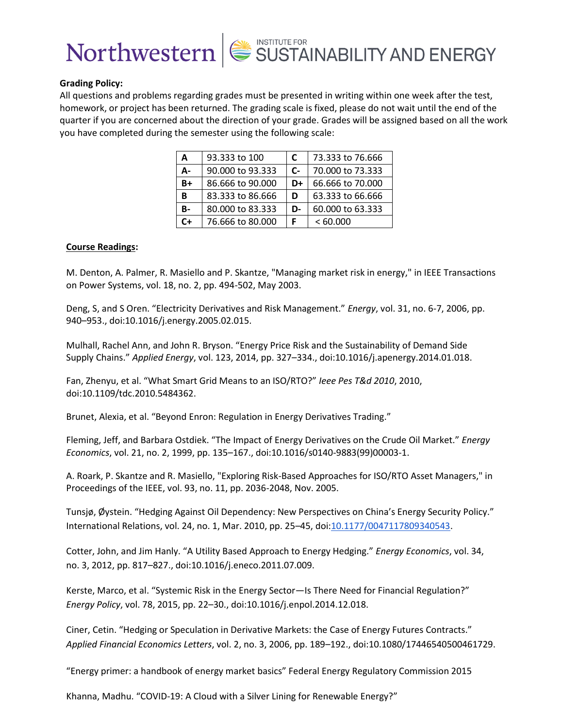

#### **Grading Policy:**

All questions and problems regarding grades must be presented in writing within one week after the test, homework, or project has been returned. The grading scale is fixed, please do not wait until the end of the quarter if you are concerned about the direction of your grade. Grades will be assigned based on all the work you have completed during the semester using the following scale:

| A  | 93.333 to 100    | C    | 73.333 to 76.666 |
|----|------------------|------|------------------|
| А- | 90,000 to 93,333 | $C-$ | 70,000 to 73,333 |
| B+ | 86,666 to 90,000 | D+   | 66.666 to 70.000 |
| в  | 83.333 to 86.666 | D    | 63.333 to 66.666 |
| B- | 80.000 to 83.333 | D-   | 60.000 to 63.333 |
| ื+ | 76.666 to 80.000 |      | <60.000          |

#### **Course Readings:**

M. Denton, A. Palmer, R. Masiello and P. Skantze, "Managing market risk in energy," in IEEE Transactions on Power Systems, vol. 18, no. 2, pp. 494-502, May 2003.

Deng, S, and S Oren. "Electricity Derivatives and Risk Management." *Energy*, vol. 31, no. 6-7, 2006, pp. 940–953., doi:10.1016/j.energy.2005.02.015.

Mulhall, Rachel Ann, and John R. Bryson. "Energy Price Risk and the Sustainability of Demand Side Supply Chains." *Applied Energy*, vol. 123, 2014, pp. 327–334., doi:10.1016/j.apenergy.2014.01.018.

Fan, Zhenyu, et al. "What Smart Grid Means to an ISO/RTO?" *Ieee Pes T&d 2010*, 2010, doi:10.1109/tdc.2010.5484362.

Brunet, Alexia, et al. "Beyond Enron: Regulation in Energy Derivatives Trading."

Fleming, Jeff, and Barbara Ostdiek. "The Impact of Energy Derivatives on the Crude Oil Market." *Energy Economics*, vol. 21, no. 2, 1999, pp. 135–167., doi:10.1016/s0140-9883(99)00003-1.

A. Roark, P. Skantze and R. Masiello, "Exploring Risk-Based Approaches for ISO/RTO Asset Managers," in Proceedings of the IEEE, vol. 93, no. 11, pp. 2036-2048, Nov. 2005.

Tunsjø, Øystein. "Hedging Against Oil Dependency: New Perspectives on China's Energy Security Policy." International Relations, vol. 24, no. 1, Mar. 2010, pp. 25–45, doi[:10.1177/0047117809340543.](https://doi.org/10.1177/0047117809340543)

Cotter, John, and Jim Hanly. "A Utility Based Approach to Energy Hedging." *Energy Economics*, vol. 34, no. 3, 2012, pp. 817–827., doi:10.1016/j.eneco.2011.07.009.

Kerste, Marco, et al. "Systemic Risk in the Energy Sector—Is There Need for Financial Regulation?" *Energy Policy*, vol. 78, 2015, pp. 22–30., doi:10.1016/j.enpol.2014.12.018.

Ciner, Cetin. "Hedging or Speculation in Derivative Markets: the Case of Energy Futures Contracts." *Applied Financial Economics Letters*, vol. 2, no. 3, 2006, pp. 189–192., doi:10.1080/17446540500461729.

"Energy primer: a handbook of energy market basics" Federal Energy Regulatory Commission 2015

Khanna, Madhu. "COVID-19: A Cloud with a Silver Lining for Renewable Energy?"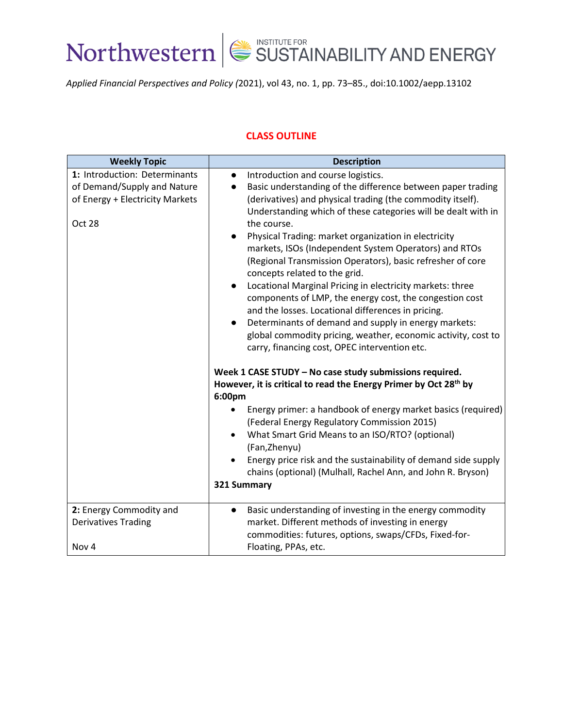

*Applied Financial Perspectives and Policy (*2021), vol 43, no. 1, pp. 73–85., doi:10.1002/aepp.13102

### **CLASS OUTLINE**

| <b>Weekly Topic</b>                                                                                              | <b>Description</b>                                                                                                                                                                                                                                                                                                                                                                                                                                                                                                                                                                                                                                                                                                                                                                                                                                                                                                                                                                                                                                                                                                                                                                                                                                                                                                                                                               |
|------------------------------------------------------------------------------------------------------------------|----------------------------------------------------------------------------------------------------------------------------------------------------------------------------------------------------------------------------------------------------------------------------------------------------------------------------------------------------------------------------------------------------------------------------------------------------------------------------------------------------------------------------------------------------------------------------------------------------------------------------------------------------------------------------------------------------------------------------------------------------------------------------------------------------------------------------------------------------------------------------------------------------------------------------------------------------------------------------------------------------------------------------------------------------------------------------------------------------------------------------------------------------------------------------------------------------------------------------------------------------------------------------------------------------------------------------------------------------------------------------------|
| 1: Introduction: Determinants<br>of Demand/Supply and Nature<br>of Energy + Electricity Markets<br><b>Oct 28</b> | Introduction and course logistics.<br>$\bullet$<br>Basic understanding of the difference between paper trading<br>$\bullet$<br>(derivatives) and physical trading (the commodity itself).<br>Understanding which of these categories will be dealt with in<br>the course.<br>Physical Trading: market organization in electricity<br>$\bullet$<br>markets, ISOs (Independent System Operators) and RTOs<br>(Regional Transmission Operators), basic refresher of core<br>concepts related to the grid.<br>Locational Marginal Pricing in electricity markets: three<br>$\bullet$<br>components of LMP, the energy cost, the congestion cost<br>and the losses. Locational differences in pricing.<br>Determinants of demand and supply in energy markets:<br>$\bullet$<br>global commodity pricing, weather, economic activity, cost to<br>carry, financing cost, OPEC intervention etc.<br>Week 1 CASE STUDY - No case study submissions required.<br>However, it is critical to read the Energy Primer by Oct 28 <sup>th</sup> by<br>6:00pm<br>Energy primer: a handbook of energy market basics (required)<br>(Federal Energy Regulatory Commission 2015)<br>What Smart Grid Means to an ISO/RTO? (optional)<br>(Fan, Zhenyu)<br>Energy price risk and the sustainability of demand side supply<br>chains (optional) (Mulhall, Rachel Ann, and John R. Bryson)<br>321 Summary |
| 2: Energy Commodity and<br><b>Derivatives Trading</b><br>Nov 4                                                   | Basic understanding of investing in the energy commodity<br>$\bullet$<br>market. Different methods of investing in energy<br>commodities: futures, options, swaps/CFDs, Fixed-for-<br>Floating, PPAs, etc.                                                                                                                                                                                                                                                                                                                                                                                                                                                                                                                                                                                                                                                                                                                                                                                                                                                                                                                                                                                                                                                                                                                                                                       |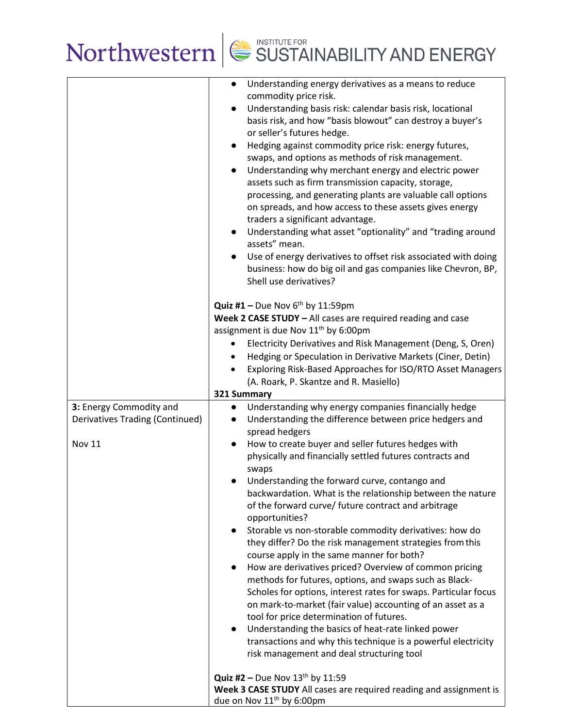

|                                        | Understanding energy derivatives as a means to reduce<br>$\bullet$<br>commodity price risk.<br>Understanding basis risk: calendar basis risk, locational<br>$\bullet$<br>basis risk, and how "basis blowout" can destroy a buyer's<br>or seller's futures hedge.<br>Hedging against commodity price risk: energy futures,<br>$\bullet$<br>swaps, and options as methods of risk management.<br>Understanding why merchant energy and electric power<br>$\bullet$<br>assets such as firm transmission capacity, storage,<br>processing, and generating plants are valuable call options<br>on spreads, and how access to these assets gives energy<br>traders a significant advantage.<br>Understanding what asset "optionality" and "trading around<br>$\bullet$<br>assets" mean.<br>Use of energy derivatives to offset risk associated with doing<br>$\bullet$<br>business: how do big oil and gas companies like Chevron, BP,<br>Shell use derivatives? |
|----------------------------------------|------------------------------------------------------------------------------------------------------------------------------------------------------------------------------------------------------------------------------------------------------------------------------------------------------------------------------------------------------------------------------------------------------------------------------------------------------------------------------------------------------------------------------------------------------------------------------------------------------------------------------------------------------------------------------------------------------------------------------------------------------------------------------------------------------------------------------------------------------------------------------------------------------------------------------------------------------------|
|                                        | Quiz #1 - Due Nov $6^{th}$ by 11:59pm                                                                                                                                                                                                                                                                                                                                                                                                                                                                                                                                                                                                                                                                                                                                                                                                                                                                                                                      |
|                                        | Week 2 CASE STUDY - All cases are required reading and case<br>assignment is due Nov 11 <sup>th</sup> by 6:00pm                                                                                                                                                                                                                                                                                                                                                                                                                                                                                                                                                                                                                                                                                                                                                                                                                                            |
|                                        | Electricity Derivatives and Risk Management (Deng, S, Oren)<br>٠                                                                                                                                                                                                                                                                                                                                                                                                                                                                                                                                                                                                                                                                                                                                                                                                                                                                                           |
|                                        | Hedging or Speculation in Derivative Markets (Ciner, Detin)<br>$\bullet$                                                                                                                                                                                                                                                                                                                                                                                                                                                                                                                                                                                                                                                                                                                                                                                                                                                                                   |
|                                        | Exploring Risk-Based Approaches for ISO/RTO Asset Managers                                                                                                                                                                                                                                                                                                                                                                                                                                                                                                                                                                                                                                                                                                                                                                                                                                                                                                 |
|                                        | (A. Roark, P. Skantze and R. Masiello)                                                                                                                                                                                                                                                                                                                                                                                                                                                                                                                                                                                                                                                                                                                                                                                                                                                                                                                     |
| 3: Energy Commodity and                | 321 Summary<br>Understanding why energy companies financially hedge                                                                                                                                                                                                                                                                                                                                                                                                                                                                                                                                                                                                                                                                                                                                                                                                                                                                                        |
| <b>Derivatives Trading (Continued)</b> | $\bullet$<br>Understanding the difference between price hedgers and<br>$\bullet$                                                                                                                                                                                                                                                                                                                                                                                                                                                                                                                                                                                                                                                                                                                                                                                                                                                                           |
|                                        | spread hedgers                                                                                                                                                                                                                                                                                                                                                                                                                                                                                                                                                                                                                                                                                                                                                                                                                                                                                                                                             |
| <b>Nov 11</b>                          | How to create buyer and seller futures hedges with<br>$\bullet$                                                                                                                                                                                                                                                                                                                                                                                                                                                                                                                                                                                                                                                                                                                                                                                                                                                                                            |
|                                        | physically and financially settled futures contracts and                                                                                                                                                                                                                                                                                                                                                                                                                                                                                                                                                                                                                                                                                                                                                                                                                                                                                                   |
|                                        | swaps<br>Understanding the forward curve, contango and                                                                                                                                                                                                                                                                                                                                                                                                                                                                                                                                                                                                                                                                                                                                                                                                                                                                                                     |
|                                        | backwardation. What is the relationship between the nature                                                                                                                                                                                                                                                                                                                                                                                                                                                                                                                                                                                                                                                                                                                                                                                                                                                                                                 |
|                                        | of the forward curve/ future contract and arbitrage                                                                                                                                                                                                                                                                                                                                                                                                                                                                                                                                                                                                                                                                                                                                                                                                                                                                                                        |
|                                        | opportunities?                                                                                                                                                                                                                                                                                                                                                                                                                                                                                                                                                                                                                                                                                                                                                                                                                                                                                                                                             |
|                                        | Storable vs non-storable commodity derivatives: how do<br>they differ? Do the risk management strategies from this                                                                                                                                                                                                                                                                                                                                                                                                                                                                                                                                                                                                                                                                                                                                                                                                                                         |
|                                        | course apply in the same manner for both?                                                                                                                                                                                                                                                                                                                                                                                                                                                                                                                                                                                                                                                                                                                                                                                                                                                                                                                  |
|                                        | How are derivatives priced? Overview of common pricing<br>$\bullet$                                                                                                                                                                                                                                                                                                                                                                                                                                                                                                                                                                                                                                                                                                                                                                                                                                                                                        |
|                                        | methods for futures, options, and swaps such as Black-                                                                                                                                                                                                                                                                                                                                                                                                                                                                                                                                                                                                                                                                                                                                                                                                                                                                                                     |
|                                        | Scholes for options, interest rates for swaps. Particular focus                                                                                                                                                                                                                                                                                                                                                                                                                                                                                                                                                                                                                                                                                                                                                                                                                                                                                            |
|                                        | on mark-to-market (fair value) accounting of an asset as a<br>tool for price determination of futures.                                                                                                                                                                                                                                                                                                                                                                                                                                                                                                                                                                                                                                                                                                                                                                                                                                                     |
|                                        | Understanding the basics of heat-rate linked power<br>$\bullet$                                                                                                                                                                                                                                                                                                                                                                                                                                                                                                                                                                                                                                                                                                                                                                                                                                                                                            |
|                                        | transactions and why this technique is a powerful electricity                                                                                                                                                                                                                                                                                                                                                                                                                                                                                                                                                                                                                                                                                                                                                                                                                                                                                              |
|                                        | risk management and deal structuring tool                                                                                                                                                                                                                                                                                                                                                                                                                                                                                                                                                                                                                                                                                                                                                                                                                                                                                                                  |
|                                        | <b>Quiz #2 - Due Nov 13th by 11:59</b>                                                                                                                                                                                                                                                                                                                                                                                                                                                                                                                                                                                                                                                                                                                                                                                                                                                                                                                     |
|                                        | Week 3 CASE STUDY All cases are required reading and assignment is                                                                                                                                                                                                                                                                                                                                                                                                                                                                                                                                                                                                                                                                                                                                                                                                                                                                                         |
|                                        | due on Nov 11 <sup>th</sup> by 6:00pm                                                                                                                                                                                                                                                                                                                                                                                                                                                                                                                                                                                                                                                                                                                                                                                                                                                                                                                      |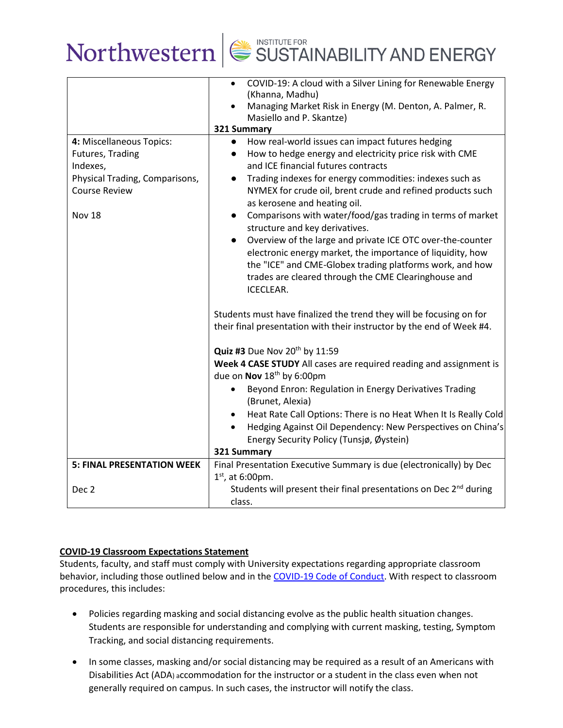

|                                   | COVID-19: A cloud with a Silver Lining for Renewable Energy<br>$\bullet$<br>(Khanna, Madhu)<br>Managing Market Risk in Energy (M. Denton, A. Palmer, R.                                           |
|-----------------------------------|---------------------------------------------------------------------------------------------------------------------------------------------------------------------------------------------------|
|                                   | Masiello and P. Skantze)                                                                                                                                                                          |
|                                   | 321 Summary                                                                                                                                                                                       |
| 4: Miscellaneous Topics:          | How real-world issues can impact futures hedging<br>$\bullet$                                                                                                                                     |
| Futures, Trading                  | How to hedge energy and electricity price risk with CME<br>$\bullet$                                                                                                                              |
| Indexes,                          | and ICE financial futures contracts                                                                                                                                                               |
| Physical Trading, Comparisons,    | Trading indexes for energy commodities: indexes such as<br>$\bullet$                                                                                                                              |
| <b>Course Review</b>              | NYMEX for crude oil, brent crude and refined products such<br>as kerosene and heating oil.                                                                                                        |
| Nov 18                            | Comparisons with water/food/gas trading in terms of market<br>$\bullet$<br>structure and key derivatives.                                                                                         |
|                                   | Overview of the large and private ICE OTC over-the-counter<br>$\bullet$<br>electronic energy market, the importance of liquidity, how<br>the "ICE" and CME-Globex trading platforms work, and how |
|                                   | trades are cleared through the CME Clearinghouse and<br>ICECLEAR.                                                                                                                                 |
|                                   | Students must have finalized the trend they will be focusing on for<br>their final presentation with their instructor by the end of Week #4.                                                      |
|                                   | Quiz #3 Due Nov 20th by 11:59                                                                                                                                                                     |
|                                   | Week 4 CASE STUDY All cases are required reading and assignment is<br>due on Nov 18 <sup>th</sup> by 6:00pm                                                                                       |
|                                   | Beyond Enron: Regulation in Energy Derivatives Trading<br>(Brunet, Alexia)                                                                                                                        |
|                                   | Heat Rate Call Options: There is no Heat When It Is Really Cold<br>$\bullet$                                                                                                                      |
|                                   | Hedging Against Oil Dependency: New Perspectives on China's                                                                                                                                       |
|                                   | Energy Security Policy (Tunsjø, Øystein)                                                                                                                                                          |
|                                   | 321 Summary                                                                                                                                                                                       |
| <b>5: FINAL PRESENTATION WEEK</b> | Final Presentation Executive Summary is due (electronically) by Dec<br>$1st$ , at 6:00pm.                                                                                                         |
| Dec <sub>2</sub>                  | Students will present their final presentations on Dec 2 <sup>nd</sup> during                                                                                                                     |
|                                   | class.                                                                                                                                                                                            |

### **COVID-19 Classroom Expectations Statement**

Students, faculty, and staff must comply with University expectations regarding appropriate classroom behavior, including those outlined below and in th[e COVID-19 Code of Conduct.](https://www.northwestern.edu/communitystandards/about-us/northwestern-university-student-expectations-covid-19-code-of-conduct.html) With respect to classroom procedures, this includes:

- Policies regarding masking and social distancing evolve as the public health situation changes. Students are responsible for understanding and complying with current masking, testing, Symptom Tracking, and social distancing requirements.
- In some classes, masking and/or social distancing may be required as a result of an Americans with Disabilities Act (ADA) accommodation for the instructor or a student in the class even when not generally required on campus. In such cases, the instructor will notify the class.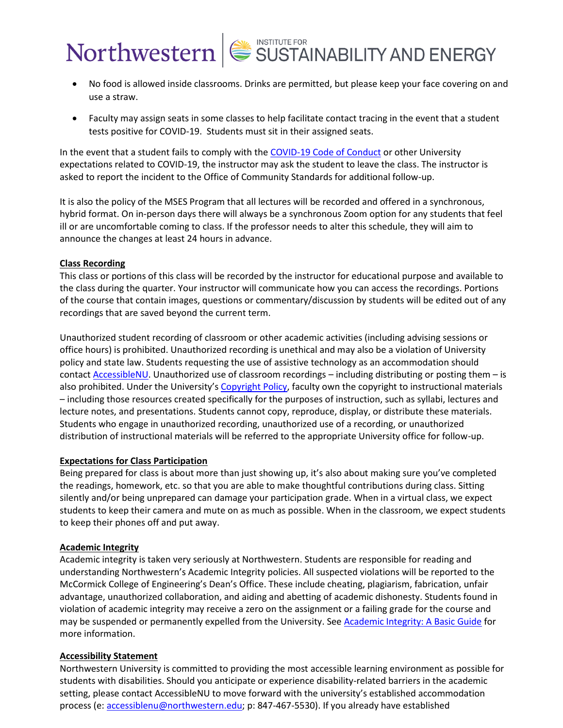- No food is allowed inside classrooms. Drinks are permitted, but please keep your face covering on and use a straw.
- Faculty may assign seats in some classes to help facilitate contact tracing in the event that a student tests positive for COVID-19. Students must sit in their assigned seats.

In the event that a student fails to comply with the [COVID-19 Code of Conduct](https://www.northwestern.edu/communitystandards/about-us/northwestern-university-student-expectations-covid-19-code-of-conduct.html) or other University expectations related to COVID-19, the instructor may ask the student to leave the class. The instructor is asked to report the incident to the Office of Community Standards for additional follow-up.

It is also the policy of the MSES Program that all lectures will be recorded and offered in a synchronous, hybrid format. On in-person days there will always be a synchronous Zoom option for any students that feel ill or are uncomfortable coming to class. If the professor needs to alter this schedule, they will aim to announce the changes at least 24 hours in advance.

#### **Class Recording**

This class or portions of this class will be recorded by the instructor for educational purpose and available to the class during the quarter. Your instructor will communicate how you can access the recordings. Portions of the course that contain images, questions or commentary/discussion by students will be edited out of any recordings that are saved beyond the current term.

Unauthorized student recording of classroom or other academic activities (including advising sessions or office hours) is prohibited. Unauthorized recording is unethical and may also be a violation of University policy and state law. Students requesting the use of assistive technology as an accommodation should contact [AccessibleNU.](https://www.northwestern.edu/accessiblenu/) Unauthorized use of classroom recordings – including distributing or posting them – is also prohibited. Under the University's [Copyright Policy,](https://www.invo.northwestern.edu/invention-disclosure/policies-forms/copyright-policy/) faculty own the copyright to instructional materials – including those resources created specifically for the purposes of instruction, such as syllabi, lectures and lecture notes, and presentations. Students cannot copy, reproduce, display, or distribute these materials. Students who engage in unauthorized recording, unauthorized use of a recording, or unauthorized distribution of instructional materials will be referred to the appropriate University office for follow-up.

#### **Expectations for Class Participation**

Being prepared for class is about more than just showing up, it's also about making sure you've completed the readings, homework, etc. so that you are able to make thoughtful contributions during class. Sitting silently and/or being unprepared can damage your participation grade. When in a virtual class, we expect students to keep their camera and mute on as much as possible. When in the classroom, we expect students to keep their phones off and put away.

#### **Academic Integrity**

Academic integrity is taken very seriously at Northwestern. Students are responsible for reading and understanding Northwestern's Academic Integrity policies. All suspected violations will be reported to the McCormick College of Engineering's Dean's Office. These include cheating, plagiarism, fabrication, unfair advantage, unauthorized collaboration, and aiding and abetting of academic dishonesty. Students found in violation of academic integrity may receive a zero on the assignment or a failing grade for the course and may be suspended or permanently expelled from the University. See [Academic Integrity: A Basic Guide](https://www.northwestern.edu/provost/policies/academic-integrity/Academic-Integrity-Guide-August-2019.pdf) for more information.

#### **Accessibility Statement**

Northwestern University is committed to providing the most accessible learning environment as possible for students with disabilities. Should you anticipate or experience disability-related barriers in the academic setting, please contact AccessibleNU to move forward with the university's established accommodation process (e: [accessiblenu@northwestern.edu;](mailto:accessiblenu@northwestern.edu) p: 847-467-5530). If you already have established